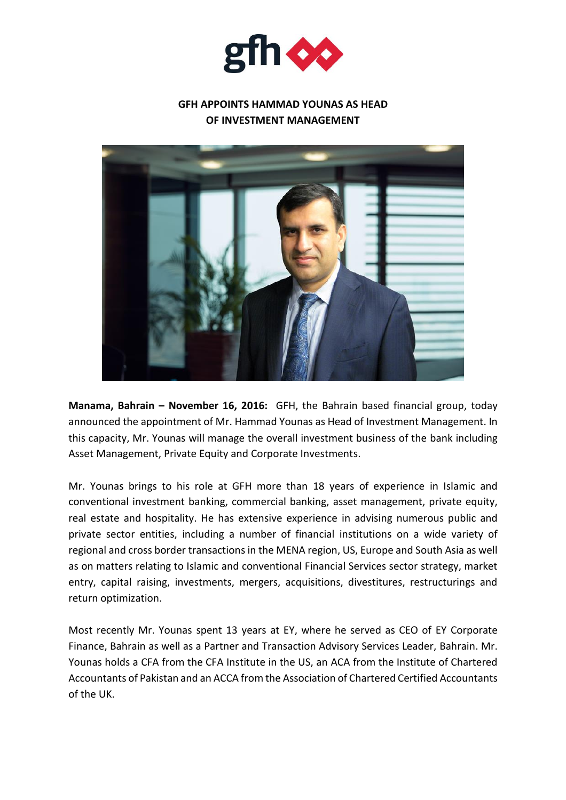

## **GFH APPOINTS HAMMAD YOUNAS AS HEAD OF INVESTMENT MANAGEMENT**



**Manama, Bahrain – November 16, 2016:** GFH, the Bahrain based financial group, today announced the appointment of Mr. Hammad Younas as Head of Investment Management. In this capacity, Mr. Younas will manage the overall investment business of the bank including Asset Management, Private Equity and Corporate Investments.

Mr. Younas brings to his role at GFH more than 18 years of experience in Islamic and conventional investment banking, commercial banking, asset management, private equity, real estate and hospitality. He has extensive experience in advising numerous public and private sector entities, including a number of financial institutions on a wide variety of regional and cross border transactions in the MENA region, US, Europe and South Asia as well as on matters relating to Islamic and conventional Financial Services sector strategy, market entry, capital raising, investments, mergers, acquisitions, divestitures, restructurings and return optimization.

Most recently Mr. Younas spent 13 years at EY, where he served as CEO of EY Corporate Finance, Bahrain as well as a Partner and Transaction Advisory Services Leader, Bahrain. Mr. Younas holds a CFA from the CFA Institute in the US, an ACA from the Institute of Chartered Accountants of Pakistan and an ACCA from the Association of Chartered Certified Accountants of the UK.